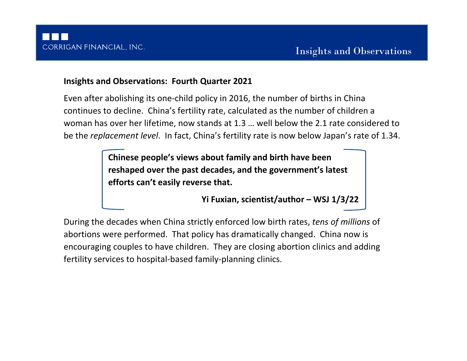# **Insights and Observations: Fourth Quarter 2021**

Even after abolishing its one-child policy in 2016, the number of births in China continues to decline. China's fertility rate, calculated as the number of children a woman has over her lifetime, now stands at 1.3 … well below the 2.1 rate considered to be the *replacement level*. In fact, China's fertility rate is now below Japan's rate of 1.34.

> **Chinese people's views about family and birth have been reshaped over the past decades, and the government's latest efforts can't easily reverse that.**

> > **Yi Fuxian, scientist/author – WSJ 1/3/22**

During the decades when China strictly enforced low birth rates, *tens of millions* of abortions were performed. That policy has dramatically changed. China now is encouraging couples to have children. They are closing abortion clinics and adding fertility services to hospital-based family-planning clinics.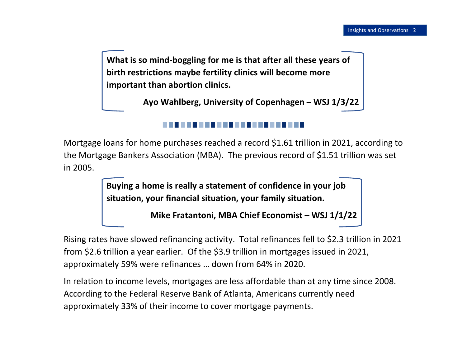**What is so mind-boggling for me is that after all these years of birth restrictions maybe fertility clinics will become more important than abortion clinics.**

**Ayo Wahlberg, University of Copenhagen – WSJ 1/3/22**

Mortgage loans for home purchases reached a record \$1.61 trillion in 2021, according to the Mortgage Bankers Association (MBA). The previous record of \$1.51 trillion was set in 2005.

> **Buying a home is really a statement of confidence in your job situation, your financial situation, your family situation.**

> > **Mike Fratantoni, MBA Chief Economist – WSJ 1/1/22**

Rising rates have slowed refinancing activity. Total refinances fell to \$2.3 trillion in 2021 from \$2.6 trillion a year earlier. Of the \$3.9 trillion in mortgages issued in 2021, approximately 59% were refinances … down from 64% in 2020.

In relation to income levels, mortgages are less affordable than at any time since 2008. According to the Federal Reserve Bank of Atlanta, Americans currently need approximately 33% of their income to cover mortgage payments.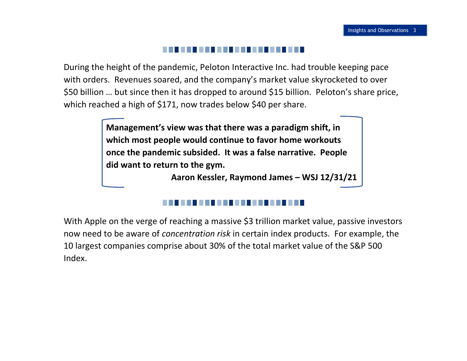## . . . . . . . . . .

During the height of the pandemic, Peloton Interactive Inc. had trouble keeping pace with orders. Revenues soared, and the company's market value skyrocketed to over \$50 billion … but since then it has dropped to around \$15 billion. Peloton's share price, which reached a high of \$171, now trades below \$40 per share.

> **Management's view was that there was a paradigm shift, in which most people would continue to favor home workouts once the pandemic subsided. It was a false narrative. People did want to return to the gym.**

> > **Aaron Kessler, Raymond James – WSJ 12/31/21**

With Apple on the verge of reaching a massive \$3 trillion market value, passive investors now need to be aware of *concentration risk* in certain index products. For example, the 10 largest companies comprise about 30% of the total market value of the S&P 500 Index.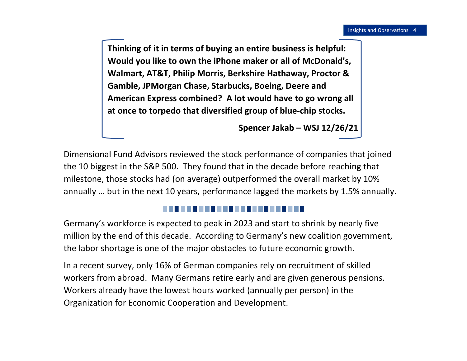**Thinking of it in terms of buying an entire business is helpful: Would you like to own the iPhone maker or all of McDonald's, Walmart, AT&T, Philip Morris, Berkshire Hathaway, Proctor & Gamble, JPMorgan Chase, Starbucks, Boeing, Deere and American Express combined? A lot would have to go wrong all at once to torpedo that diversified group of blue-chip stocks.**

**Spencer Jakab – WSJ 12/26/21**

Dimensional Fund Advisors reviewed the stock performance of companies that joined the 10 biggest in the S&P 500. They found that in the decade before reaching that milestone, those stocks had (on average) outperformed the overall market by 10% annually … but in the next 10 years, performance lagged the markets by 1.5% annually.

## -----

Germany's workforce is expected to peak in 2023 and start to shrink by nearly five million by the end of this decade. According to Germany's new coalition government, the labor shortage is one of the major obstacles to future economic growth.

In a recent survey, only 16% of German companies rely on recruitment of skilled workers from abroad. Many Germans retire early and are given generous pensions. Workers already have the lowest hours worked (annually per person) in the Organization for Economic Cooperation and Development.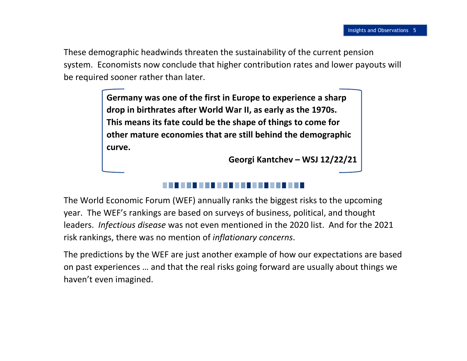These demographic headwinds threaten the sustainability of the current pension system. Economists now conclude that higher contribution rates and lower payouts will be required sooner rather than later.

> **Germany was one of the first in Europe to experience a sharp drop in birthrates after World War II, as early as the 1970s. This means its fate could be the shape of things to come for other mature economies that are still behind the demographic curve.**

> > **Georgi Kantchev – WSJ 12/22/21**

The World Economic Forum (WEF) annually ranks the biggest risks to the upcoming year. The WEF's rankings are based on surveys of business, political, and thought leaders. *Infectious disease* was not even mentioned in the 2020 list. And for the 2021 risk rankings, there was no mention of *inflationary concerns*.

The predictions by the WEF are just another example of how our expectations are based on past experiences … and that the real risks going forward are usually about things we haven't even imagined.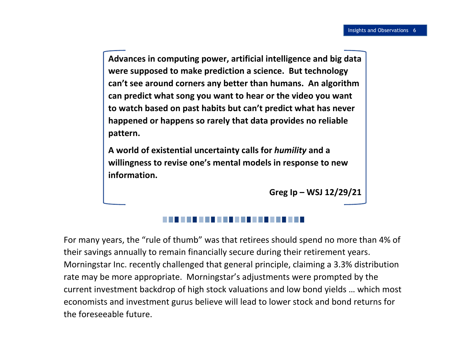**Advances in computing power, artificial intelligence and big data were supposed to make prediction a science. But technology can't see around corners any better than humans. An algorithm can predict what song you want to hear or the video you want to watch based on past habits but can't predict what has never happened or happens so rarely that data provides no reliable pattern.**

**A world of existential uncertainty calls for** *humility* **and a willingness to revise one's mental models in response to new information.**

**Greg Ip – WSJ 12/29/21**

For many years, the "rule of thumb" was that retirees should spend no more than 4% of their savings annually to remain financially secure during their retirement years. Morningstar Inc. recently challenged that general principle, claiming a 3.3% distribution rate may be more appropriate. Morningstar's adjustments were prompted by the current investment backdrop of high stock valuations and low bond yields … which most economists and investment gurus believe will lead to lower stock and bond returns for the foreseeable future.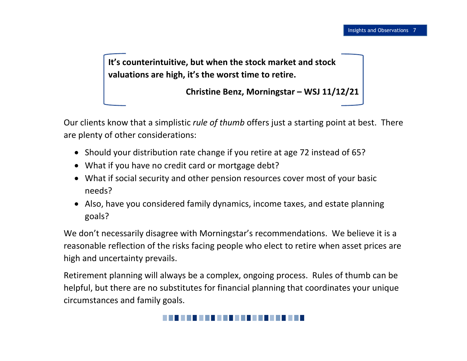**It's counterintuitive, but when the stock market and stock valuations are high, it's the worst time to retire.**

**Christine Benz, Morningstar – WSJ 11/12/21**

Our clients know that a simplistic *rule of thumb* offers just a starting point at best. There are plenty of other considerations:

- Should your distribution rate change if you retire at age 72 instead of 65?
- What if you have no credit card or mortgage debt?
- What if social security and other pension resources cover most of your basic needs?
- Also, have you considered family dynamics, income taxes, and estate planning goals?

We don't necessarily disagree with Morningstar's recommendations. We believe it is a reasonable reflection of the risks facing people who elect to retire when asset prices are high and uncertainty prevails.

Retirement planning will always be a complex, ongoing process. Rules of thumb can be helpful, but there are no substitutes for financial planning that coordinates your unique circumstances and family goals.

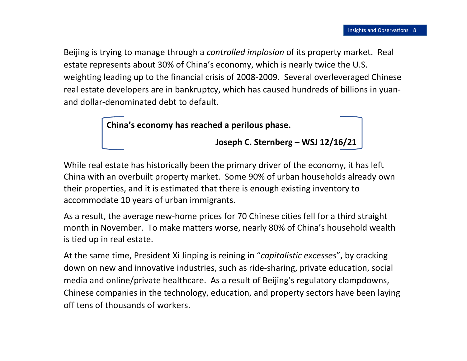Beijing is trying to manage through a *controlled implosion* of its property market. Real estate represents about 30% of China's economy, which is nearly twice the U.S. weighting leading up to the financial crisis of 2008-2009. Several overleveraged Chinese real estate developers are in bankruptcy, which has caused hundreds of billions in yuanand dollar-denominated debt to default.



While real estate has historically been the primary driver of the economy, it has left China with an overbuilt property market. Some 90% of urban households already own their properties, and it is estimated that there is enough existing inventory to accommodate 10 years of urban immigrants.

As a result, the average new-home prices for 70 Chinese cities fell for a third straight month in November. To make matters worse, nearly 80% of China's household wealth is tied up in real estate.

At the same time, President Xi Jinping is reining in "*capitalistic excesses*", by cracking down on new and innovative industries, such as ride-sharing, private education, social media and online/private healthcare. As a result of Beijing's regulatory clampdowns, Chinese companies in the technology, education, and property sectors have been laying off tens of thousands of workers.